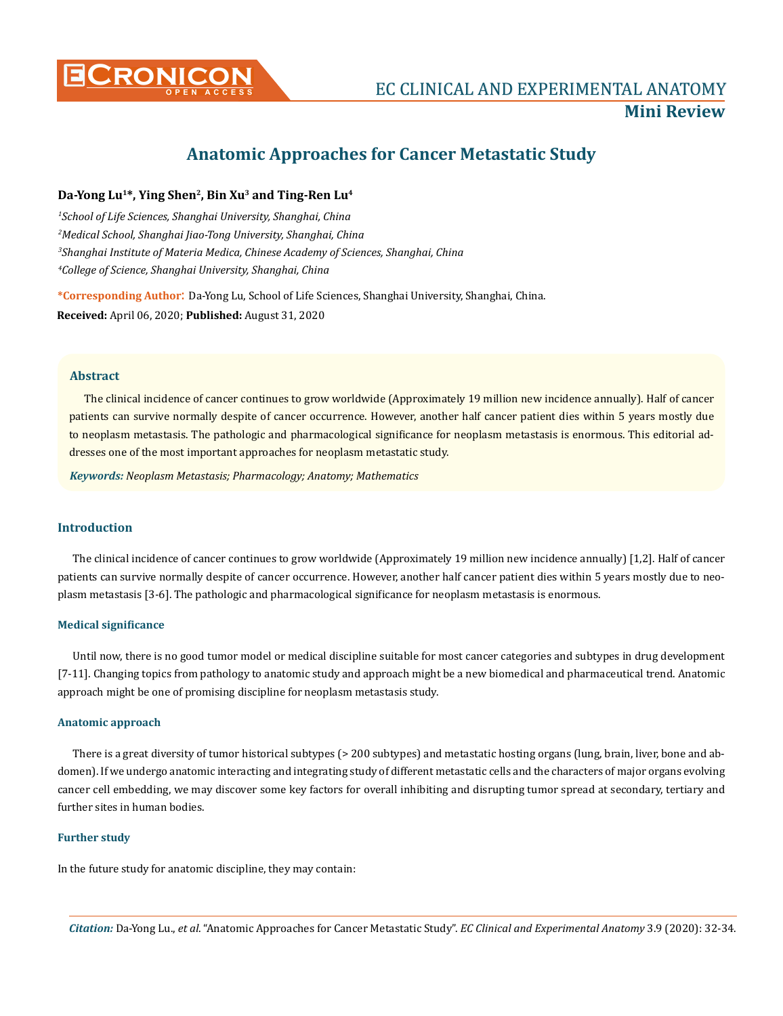

# **Anatomic Approaches for Cancer Metastatic Study**

# **Da-Yong Lu1\*, Ying Shen2, Bin Xu3 and Ting-Ren Lu4**

 *School of Life Sciences, Shanghai University, Shanghai, China Medical School, Shanghai Jiao-Tong University, Shanghai, China Shanghai Institute of Materia Medica, Chinese Academy of Sciences, Shanghai, China College of Science, Shanghai University, Shanghai, China*

**\*Corresponding Author**: Da-Yong Lu, School of Life Sciences, Shanghai University, Shanghai, China. **Received:** April 06, 2020; **Published:** August 31, 2020

## **Abstract**

The clinical incidence of cancer continues to grow worldwide (Approximately 19 million new incidence annually). Half of cancer patients can survive normally despite of cancer occurrence. However, another half cancer patient dies within 5 years mostly due to neoplasm metastasis. The pathologic and pharmacological significance for neoplasm metastasis is enormous. This editorial addresses one of the most important approaches for neoplasm metastatic study.

*Keywords: Neoplasm Metastasis; Pharmacology; Anatomy; Mathematics*

# **Introduction**

The clinical incidence of cancer continues to grow worldwide (Approximately 19 million new incidence annually) [1,2]. Half of cancer patients can survive normally despite of cancer occurrence. However, another half cancer patient dies within 5 years mostly due to neoplasm metastasis [3-6]. The pathologic and pharmacological significance for neoplasm metastasis is enormous.

#### **Medical significance**

Until now, there is no good tumor model or medical discipline suitable for most cancer categories and subtypes in drug development [7-11]. Changing topics from pathology to anatomic study and approach might be a new biomedical and pharmaceutical trend. Anatomic approach might be one of promising discipline for neoplasm metastasis study.

#### **Anatomic approach**

There is a great diversity of tumor historical subtypes (> 200 subtypes) and metastatic hosting organs (lung, brain, liver, bone and abdomen). If we undergo anatomic interacting and integrating study of different metastatic cells and the characters of major organs evolving cancer cell embedding, we may discover some key factors for overall inhibiting and disrupting tumor spread at secondary, tertiary and further sites in human bodies.

# **Further study**

In the future study for anatomic discipline, they may contain: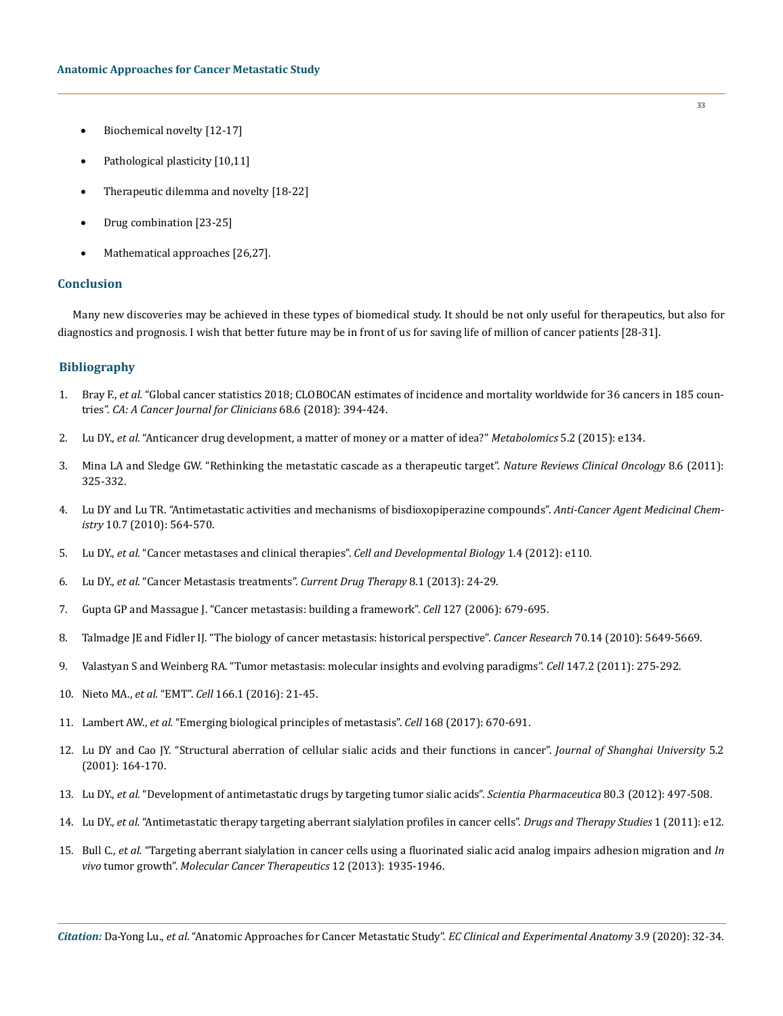- Biochemical novelty [12-17]
- Pathological plasticity [10,11]
- Therapeutic dilemma and novelty [18-22]
- Drug combination [23-25]
- Mathematical approaches [26,27].

## **Conclusion**

Many new discoveries may be achieved in these types of biomedical study. It should be not only useful for therapeutics, but also for diagnostics and prognosis. I wish that better future may be in front of us for saving life of million of cancer patients [28-31].

## **Bibliography**

- 1. Bray F., *et al.* ["Global cancer statistics 2018; CLOBOCAN estimates of incidence and mortality worldwide for 36 cancers in 185 coun](https://acsjournals.onlinelibrary.wiley.com/doi/full/10.3322/caac.21492)tries". *[CA: A Cancer Journal for Clinicians](https://acsjournals.onlinelibrary.wiley.com/doi/full/10.3322/caac.21492)* 68.6 (2018): 394-424.
- 2. Lu DY., *et al.* ["Anticancer drug development, a matter of money or a matter of idea?"](https://www.researchgate.net/publication/281707227_Anticancer_Drug_Development_a_Matter_of_Money_or_a_Matter_of_Idea) *Metabolomics* 5.2 (2015): e134.
- 3. [Mina LA and Sledge GW. "Rethinking the metastatic cascade as a therapeutic target".](https://pubmed.ncbi.nlm.nih.gov/21502993/) *Nature Reviews Clinical Oncology* 8.6 (2011): [325-332.](https://pubmed.ncbi.nlm.nih.gov/21502993/)
- 4. [Lu DY and Lu TR. "Antimetastatic activities and mechanisms of bisdioxopiperazine compounds".](https://www.eurekaselect.com/72846/article/antimetastatic-activities-and-mechanisms-bisdioxopiperazine-compounds) *Anti-Cancer Agent Medicinal Chemistry* [10.7 \(2010\): 564-570.](https://www.eurekaselect.com/72846/article/antimetastatic-activities-and-mechanisms-bisdioxopiperazine-compounds)
- 5. Lu DY., *et al.* ["Cancer metastases and clinical therapies".](https://www.longdom.org/open-access/cancer-metastases-and-clinical-therapies-2168-9296.1000e110.pdf) *Cell and Developmental Biology* 1.4 (2012): e110.
- 6. Lu DY., *et al.* "Cancer Metastasis treatments". *Current Drug Therapy* 8.1 (2013): 24-29.
- 7. [Gupta GP and Massague J. "Cancer metastasis: building a framework".](https://www.sciencedirect.com/science/article/pii/S0092867406014140) *Cell* 127 (2006): 679-695.
- 8. Talmadge JE and Fidler IJ. "The biology of cancer metastasis: historical perspective". *Cancer Research* 70.14 (2010): 5649-5669.
- 9. [Valastyan S and Weinberg RA. "Tumor metastasis: molecular insights and evolving paradigms".](https://www.ncbi.nlm.nih.gov/pmc/articles/PMC3261217/) *Cell* 147.2 (2011): 275-292.
- 10. Nieto MA., *et al.* "EMT". *Cell* [166.1 \(2016\): 21-45.](https://www.sciencedirect.com/science/article/pii/S0092867416307966)
- 11. Lambert AW., *et al.* ["Emerging biological principles of metastasis".](https://pubmed.ncbi.nlm.nih.gov/28187288/) *Cell* 168 (2017): 670-691.
- 12. [Lu DY and Cao JY. "Structural aberration of cellular sialic acids and their functions in cancer".](https://link.springer.com/article/10.1007/s11741-001-0016-6) *Journal of Shanghai University* 5.2 [\(2001\): 164-170.](https://link.springer.com/article/10.1007/s11741-001-0016-6)
- 13. Lu DY., *et al.* ["Development of antimetastatic drugs by targeting tumor sialic acids".](https://www.ncbi.nlm.nih.gov/pmc/articles/PMC3447616/) *Scientia Pharmaceutica* 80.3 (2012): 497-508.
- 14. Lu DY., *et al.* "Antimetastatic therapy targeting aberrant sialylation profiles in cancer cells". *Drugs and Therapy Studies* 1 (2011): e12.
- 15. Bull C., *et al.* ["Targeting aberrant sialylation in cancer cells using a fluorinated sialic acid analog impairs adhesion migration and](https://pubmed.ncbi.nlm.nih.gov/23974695/) *In vivo* tumor growth". *[Molecular Cancer Therapeutics](https://pubmed.ncbi.nlm.nih.gov/23974695/)* 12 (2013): 1935-1946.

*Citation:* Da-Yong Lu., *et al*. "Anatomic Approaches for Cancer Metastatic Study". *EC Clinical and Experimental Anatomy* 3.9 (2020): 32-34.